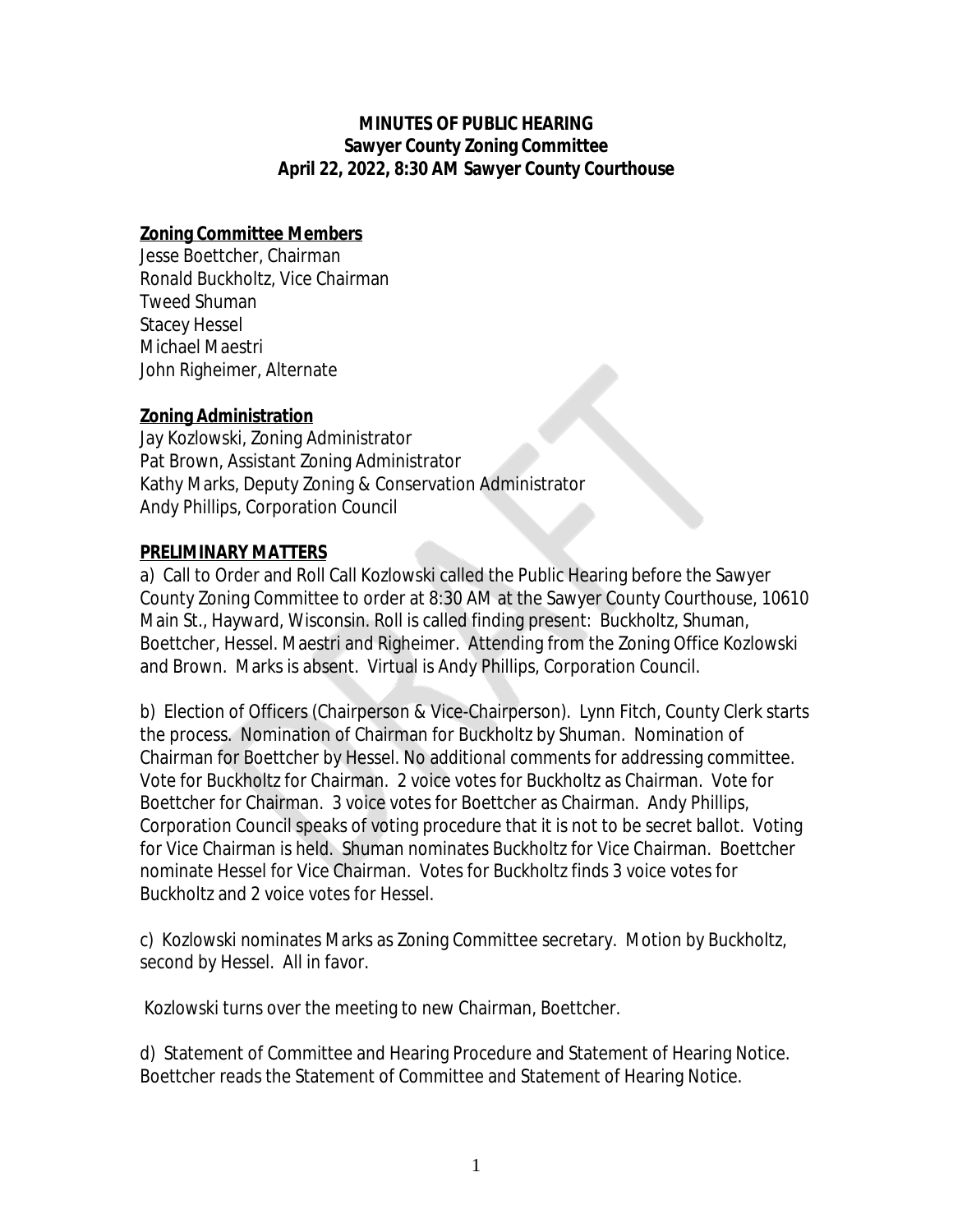### **MINUTES OF PUBLIC HEARING Sawyer County Zoning Committee April 22, 2022, 8:30 AM Sawyer County Courthouse**

# **Zoning Committee Members**

Jesse Boettcher, Chairman Ronald Buckholtz, Vice Chairman Tweed Shuman Stacey Hessel Michael Maestri John Righeimer, Alternate

# **Zoning Administration**

Jay Kozlowski, Zoning Administrator Pat Brown, Assistant Zoning Administrator Kathy Marks, Deputy Zoning & Conservation Administrator Andy Phillips, Corporation Council

# **PRELIMINARY MATTERS**

a) Call to Order and Roll Call Kozlowski called the Public Hearing before the Sawyer County Zoning Committee to order at 8:30 AM at the Sawyer County Courthouse, 10610 Main St., Hayward, Wisconsin. Roll is called finding present: Buckholtz, Shuman, Boettcher, Hessel. Maestri and Righeimer. Attending from the Zoning Office Kozlowski and Brown. Marks is absent. Virtual is Andy Phillips, Corporation Council.

b) Election of Officers (Chairperson & Vice-Chairperson). Lynn Fitch, County Clerk starts the process. Nomination of Chairman for Buckholtz by Shuman. Nomination of Chairman for Boettcher by Hessel. No additional comments for addressing committee. Vote for Buckholtz for Chairman. 2 voice votes for Buckholtz as Chairman. Vote for Boettcher for Chairman. 3 voice votes for Boettcher as Chairman. Andy Phillips, Corporation Council speaks of voting procedure that it is not to be secret ballot. Voting for Vice Chairman is held. Shuman nominates Buckholtz for Vice Chairman. Boettcher nominate Hessel for Vice Chairman. Votes for Buckholtz finds 3 voice votes for Buckholtz and 2 voice votes for Hessel.

c) Kozlowski nominates Marks as Zoning Committee secretary. Motion by Buckholtz, second by Hessel. All in favor.

Kozlowski turns over the meeting to new Chairman, Boettcher.

d) Statement of Committee and Hearing Procedure and Statement of Hearing Notice. Boettcher reads the Statement of Committee and Statement of Hearing Notice.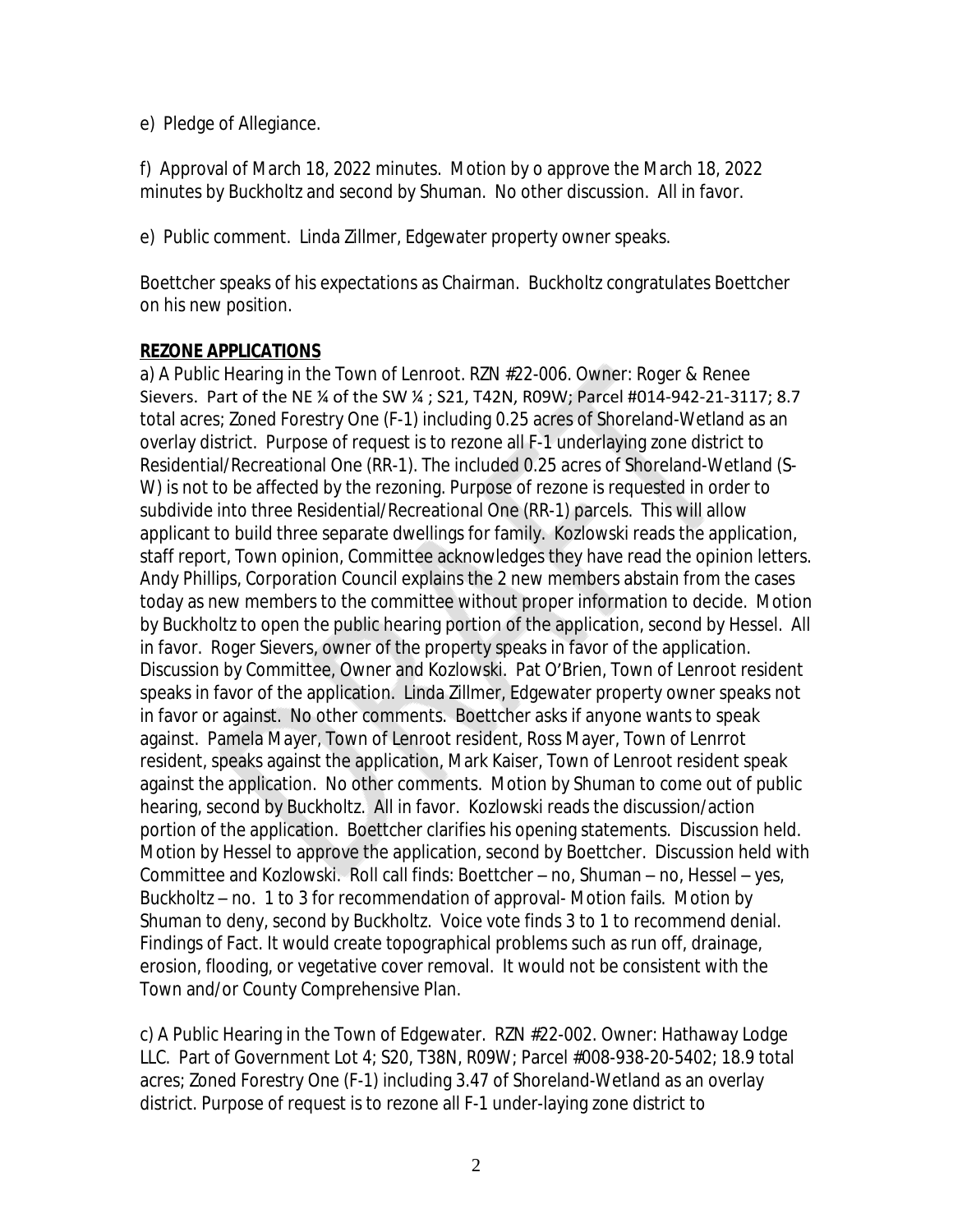e) Pledge of Allegiance.

f) Approval of March 18, 2022 minutes. Motion by o approve the March 18, 2022 minutes by Buckholtz and second by Shuman. No other discussion. All in favor.

e) Public comment. Linda Zillmer, Edgewater property owner speaks.

Boettcher speaks of his expectations as Chairman. Buckholtz congratulates Boettcher on his new position.

# **REZONE APPLICATIONS**

a) A Public Hearing in the Town of Lenroot. RZN #22-006. Owner: Roger & Renee Sievers. Part of the NE ¼ of the SW ¼ ; S21, T42N, R09W; Parcel #014-942-21-3117; 8.7 total acres; Zoned Forestry One (F-1) including 0.25 acres of Shoreland-Wetland as an overlay district. Purpose of request is to rezone all F-1 underlaying zone district to Residential/Recreational One (RR-1). The included 0.25 acres of Shoreland-Wetland (S-W) is not to be affected by the rezoning. Purpose of rezone is requested in order to subdivide into three Residential/Recreational One (RR-1) parcels. This will allow applicant to build three separate dwellings for family. Kozlowski reads the application, staff report, Town opinion, Committee acknowledges they have read the opinion letters. Andy Phillips, Corporation Council explains the 2 new members abstain from the cases today as new members to the committee without proper information to decide. Motion by Buckholtz to open the public hearing portion of the application, second by Hessel. All in favor. Roger Sievers, owner of the property speaks in favor of the application. Discussion by Committee, Owner and Kozlowski. Pat O'Brien, Town of Lenroot resident speaks in favor of the application. Linda Zillmer, Edgewater property owner speaks not in favor or against. No other comments. Boettcher asks if anyone wants to speak against. Pamela Mayer, Town of Lenroot resident, Ross Mayer, Town of Lenrrot resident, speaks against the application, Mark Kaiser, Town of Lenroot resident speak against the application. No other comments. Motion by Shuman to come out of public hearing, second by Buckholtz. All in favor. Kozlowski reads the discussion/action portion of the application. Boettcher clarifies his opening statements. Discussion held. Motion by Hessel to approve the application, second by Boettcher. Discussion held with Committee and Kozlowski. Roll call finds: Boettcher – no, Shuman – no, Hessel – yes, Buckholtz – no. 1 to 3 for recommendation of approval- Motion fails. Motion by Shuman to deny, second by Buckholtz. Voice vote finds 3 to 1 to recommend denial. Findings of Fact. It would create topographical problems such as run off, drainage, erosion, flooding, or vegetative cover removal. It would not be consistent with the Town and/or County Comprehensive Plan.

c) A Public Hearing in the Town of Edgewater. RZN #22-002. Owner: Hathaway Lodge LLC. Part of Government Lot 4; S20, T38N, R09W; Parcel #008-938-20-5402; 18.9 total acres; Zoned Forestry One (F-1) including 3.47 of Shoreland-Wetland as an overlay district. Purpose of request is to rezone all F-1 under-laying zone district to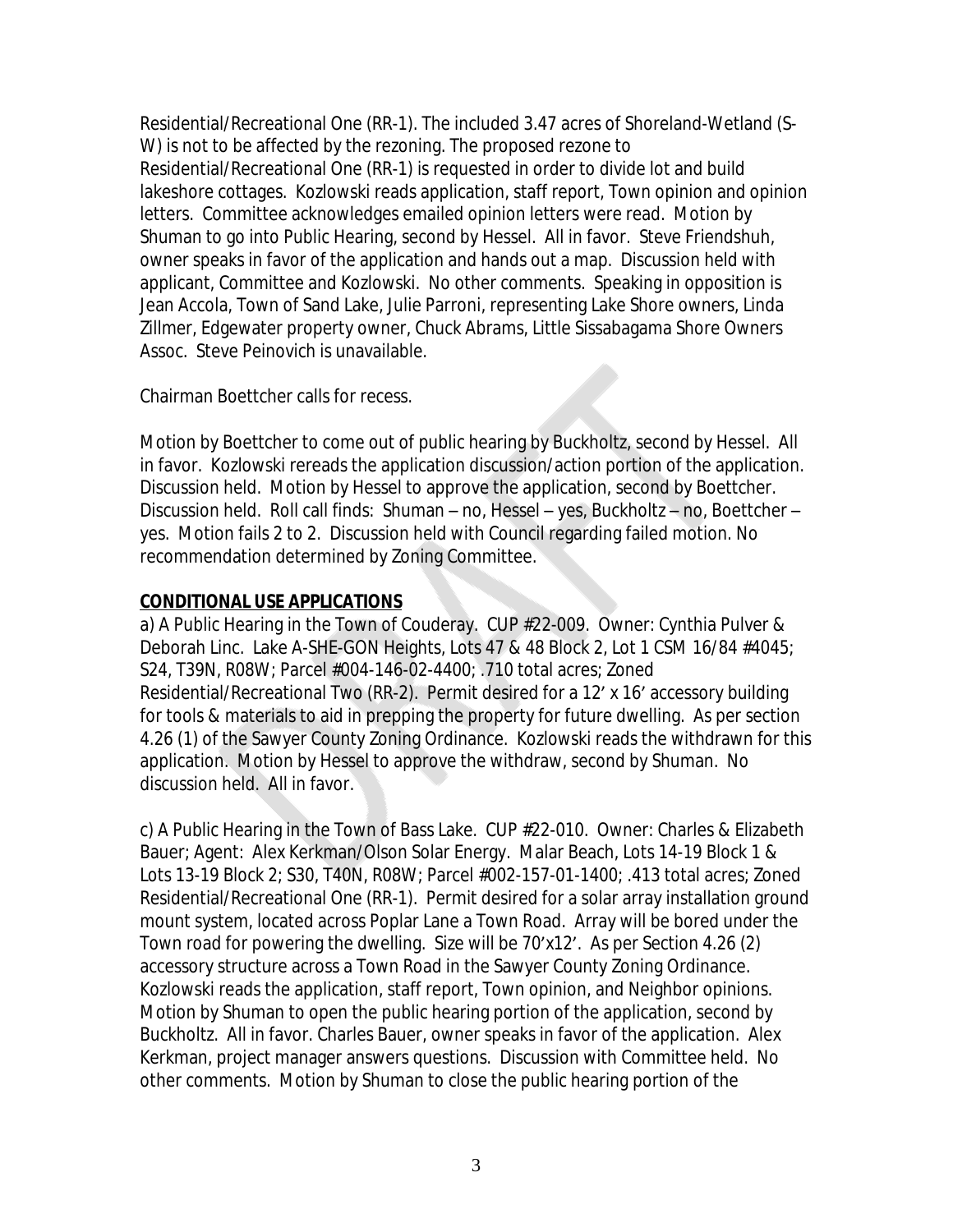Residential/Recreational One (RR-1). The included 3.47 acres of Shoreland-Wetland (S-W) is not to be affected by the rezoning. The proposed rezone to Residential/Recreational One (RR-1) is requested in order to divide lot and build lakeshore cottages. Kozlowski reads application, staff report, Town opinion and opinion letters. Committee acknowledges emailed opinion letters were read. Motion by Shuman to go into Public Hearing, second by Hessel. All in favor. Steve Friendshuh, owner speaks in favor of the application and hands out a map. Discussion held with applicant, Committee and Kozlowski. No other comments. Speaking in opposition is Jean Accola, Town of Sand Lake, Julie Parroni, representing Lake Shore owners, Linda Zillmer, Edgewater property owner, Chuck Abrams, Little Sissabagama Shore Owners Assoc. Steve Peinovich is unavailable.

Chairman Boettcher calls for recess.

Motion by Boettcher to come out of public hearing by Buckholtz, second by Hessel. All in favor. Kozlowski rereads the application discussion/action portion of the application. Discussion held. Motion by Hessel to approve the application, second by Boettcher. Discussion held. Roll call finds: Shuman – no, Hessel – yes, Buckholtz – no, Boettcher – yes. Motion fails 2 to 2. Discussion held with Council regarding failed motion. No recommendation determined by Zoning Committee.

# **CONDITIONAL USE APPLICATIONS**

a) A Public Hearing in the Town of Couderay. CUP #22-009. Owner: Cynthia Pulver & Deborah Linc. Lake A-SHE-GON Heights, Lots 47 & 48 Block 2, Lot 1 CSM 16/84 #4045; S24, T39N, R08W; Parcel #004-146-02-4400; .710 total acres; Zoned Residential/Recreational Two (RR-2). Permit desired for a 12' x 16' accessory building for tools & materials to aid in prepping the property for future dwelling. As per section 4.26 (1) of the Sawyer County Zoning Ordinance. Kozlowski reads the withdrawn for this application. Motion by Hessel to approve the withdraw, second by Shuman. No discussion held. All in favor.

c) A Public Hearing in the Town of Bass Lake. CUP #22-010. Owner: Charles & Elizabeth Bauer; Agent: Alex Kerkman/Olson Solar Energy. Malar Beach, Lots 14-19 Block 1 & Lots 13-19 Block 2; S30, T40N, R08W; Parcel #002-157-01-1400; .413 total acres; Zoned Residential/Recreational One (RR-1). Permit desired for a solar array installation ground mount system, located across Poplar Lane a Town Road. Array will be bored under the Town road for powering the dwelling. Size will be 70'x12'. As per Section 4.26 (2) accessory structure across a Town Road in the Sawyer County Zoning Ordinance. Kozlowski reads the application, staff report, Town opinion, and Neighbor opinions. Motion by Shuman to open the public hearing portion of the application, second by Buckholtz. All in favor. Charles Bauer, owner speaks in favor of the application. Alex Kerkman, project manager answers questions. Discussion with Committee held. No other comments. Motion by Shuman to close the public hearing portion of the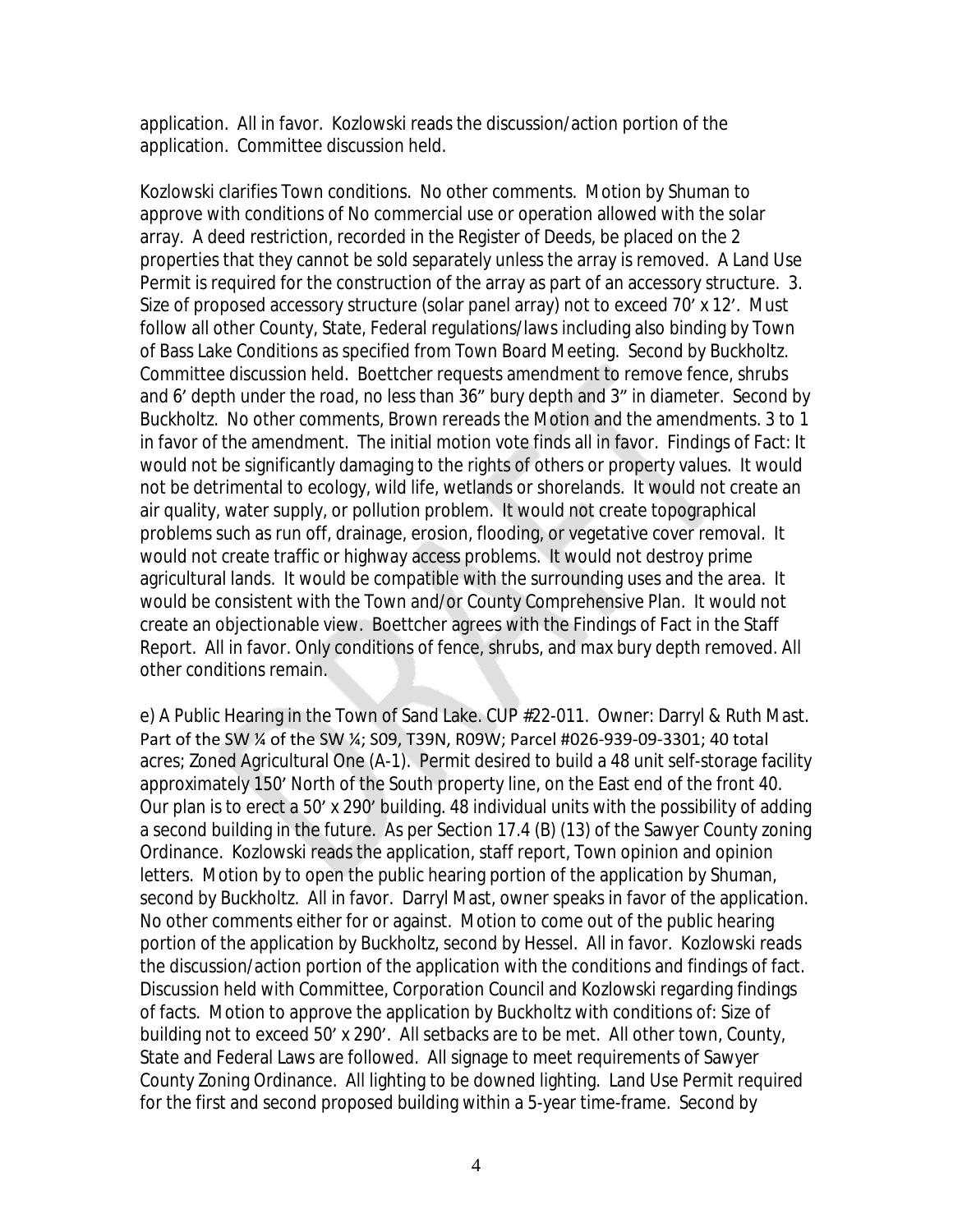application. All in favor. Kozlowski reads the discussion/action portion of the application. Committee discussion held.

Kozlowski clarifies Town conditions. No other comments. Motion by Shuman to approve with conditions of No commercial use or operation allowed with the solar array. A deed restriction, recorded in the Register of Deeds, be placed on the 2 properties that they cannot be sold separately unless the array is removed. A Land Use Permit is required for the construction of the array as part of an accessory structure. 3. Size of proposed accessory structure (solar panel array) not to exceed 70' x 12'. Must follow all other County, State, Federal regulations/laws including also binding by Town of Bass Lake Conditions as specified from Town Board Meeting. Second by Buckholtz. Committee discussion held. Boettcher requests amendment to remove fence, shrubs and 6' depth under the road, no less than 36" bury depth and 3" in diameter. Second by Buckholtz. No other comments, Brown rereads the Motion and the amendments. 3 to 1 in favor of the amendment. The initial motion vote finds all in favor. Findings of Fact: It would not be significantly damaging to the rights of others or property values. It would not be detrimental to ecology, wild life, wetlands or shorelands. It would not create an air quality, water supply, or pollution problem. It would not create topographical problems such as run off, drainage, erosion, flooding, or vegetative cover removal. It would not create traffic or highway access problems. It would not destroy prime agricultural lands. It would be compatible with the surrounding uses and the area. It would be consistent with the Town and/or County Comprehensive Plan. It would not create an objectionable view. Boettcher agrees with the Findings of Fact in the Staff Report. All in favor. Only conditions of fence, shrubs, and max bury depth removed. All other conditions remain.

e) A Public Hearing in the Town of Sand Lake. CUP #22-011. Owner: Darryl & Ruth Mast. Part of the SW ¼ of the SW ¼; S09, T39N, R09W; Parcel #026-939-09-3301; 40 total acres; Zoned Agricultural One (A-1). Permit desired to build a 48 unit self-storage facility approximately 150' North of the South property line, on the East end of the front 40. Our plan is to erect a 50' x 290' building. 48 individual units with the possibility of adding a second building in the future. As per Section 17.4 (B) (13) of the Sawyer County zoning Ordinance. Kozlowski reads the application, staff report, Town opinion and opinion letters. Motion by to open the public hearing portion of the application by Shuman, second by Buckholtz. All in favor. Darryl Mast, owner speaks in favor of the application. No other comments either for or against. Motion to come out of the public hearing portion of the application by Buckholtz, second by Hessel. All in favor. Kozlowski reads the discussion/action portion of the application with the conditions and findings of fact. Discussion held with Committee, Corporation Council and Kozlowski regarding findings of facts. Motion to approve the application by Buckholtz with conditions of: Size of building not to exceed 50' x 290'. All setbacks are to be met. All other town, County, State and Federal Laws are followed. All signage to meet requirements of Sawyer County Zoning Ordinance. All lighting to be downed lighting. Land Use Permit required for the first and second proposed building within a 5-year time-frame. Second by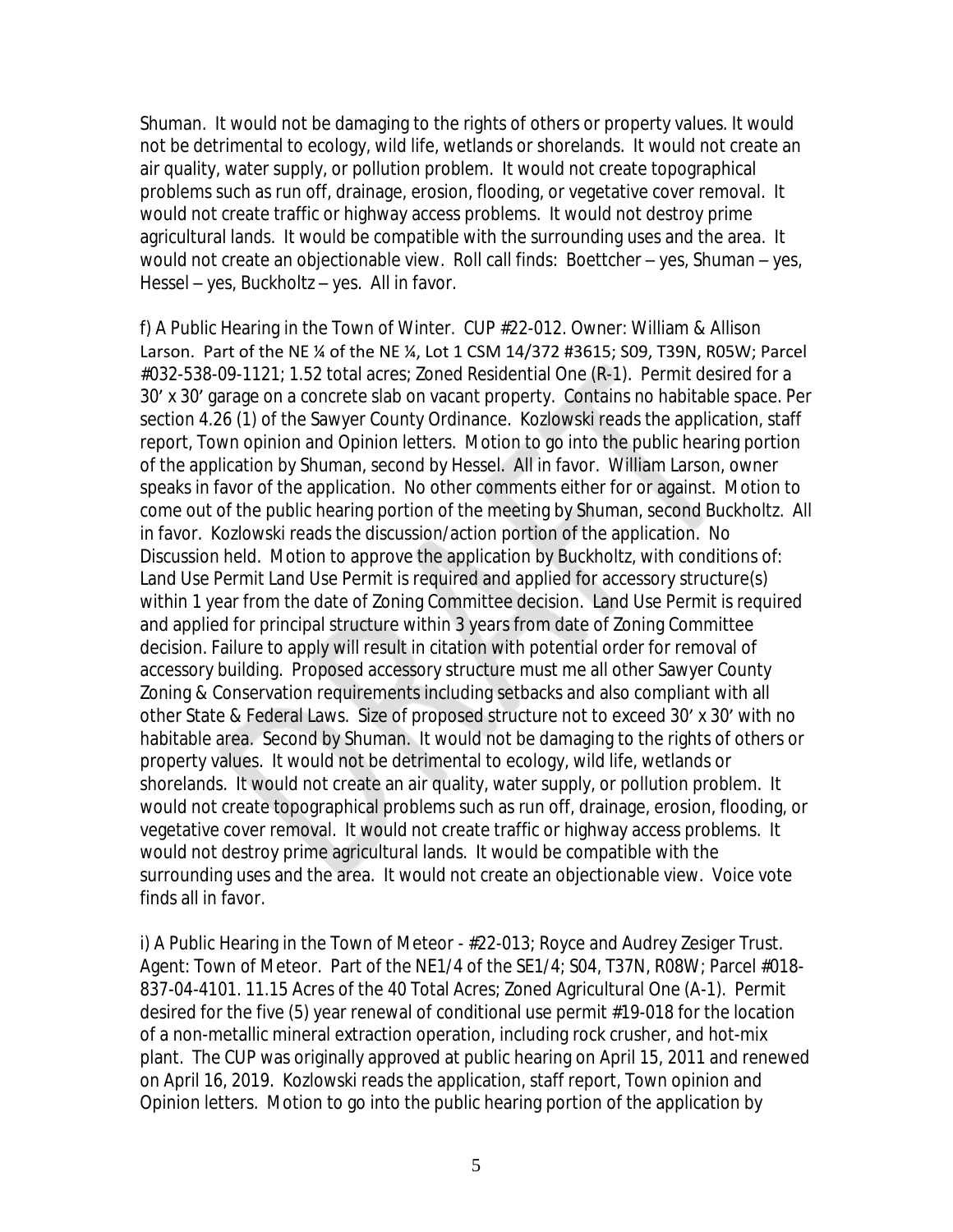Shuman. It would not be damaging to the rights of others or property values. It would not be detrimental to ecology, wild life, wetlands or shorelands. It would not create an air quality, water supply, or pollution problem. It would not create topographical problems such as run off, drainage, erosion, flooding, or vegetative cover removal. It would not create traffic or highway access problems. It would not destroy prime agricultural lands. It would be compatible with the surrounding uses and the area. It would not create an objectionable view. Roll call finds: Boettcher – yes, Shuman – yes, Hessel – yes, Buckholtz – yes. All in favor.

f) A Public Hearing in the Town of Winter. CUP #22-012. Owner: William & Allison Larson. Part of the NE ¼ of the NE ¼, Lot 1 CSM 14/372 #3615; S09, T39N, R05W; Parcel #032-538-09-1121; 1.52 total acres; Zoned Residential One (R-1). Permit desired for a 30' x 30' garage on a concrete slab on vacant property. Contains no habitable space. Per section 4.26 (1) of the Sawyer County Ordinance. Kozlowski reads the application, staff report, Town opinion and Opinion letters. Motion to go into the public hearing portion of the application by Shuman, second by Hessel. All in favor. William Larson, owner speaks in favor of the application. No other comments either for or against. Motion to come out of the public hearing portion of the meeting by Shuman, second Buckholtz. All in favor. Kozlowski reads the discussion/action portion of the application. No Discussion held. Motion to approve the application by Buckholtz, with conditions of: Land Use Permit Land Use Permit is required and applied for accessory structure(s) within 1 year from the date of Zoning Committee decision. Land Use Permit is required and applied for principal structure within 3 years from date of Zoning Committee decision. Failure to apply will result in citation with potential order for removal of accessory building. Proposed accessory structure must me all other Sawyer County Zoning & Conservation requirements including setbacks and also compliant with all other State & Federal Laws. Size of proposed structure not to exceed 30' x 30' with no habitable area. Second by Shuman. It would not be damaging to the rights of others or property values. It would not be detrimental to ecology, wild life, wetlands or shorelands. It would not create an air quality, water supply, or pollution problem. It would not create topographical problems such as run off, drainage, erosion, flooding, or vegetative cover removal. It would not create traffic or highway access problems. It would not destroy prime agricultural lands. It would be compatible with the surrounding uses and the area. It would not create an objectionable view. Voice vote finds all in favor.

i) A Public Hearing in the Town of Meteor - #22-013; Royce and Audrey Zesiger Trust. Agent: Town of Meteor. Part of the NE1/4 of the SE1/4; S04, T37N, R08W; Parcel #018- 837-04-4101. 11.15 Acres of the 40 Total Acres; Zoned Agricultural One (A-1). Permit desired for the five (5) year renewal of conditional use permit #19-018 for the location of a non-metallic mineral extraction operation, including rock crusher, and hot-mix plant. The CUP was originally approved at public hearing on April 15, 2011 and renewed on April 16, 2019. Kozlowski reads the application, staff report, Town opinion and Opinion letters. Motion to go into the public hearing portion of the application by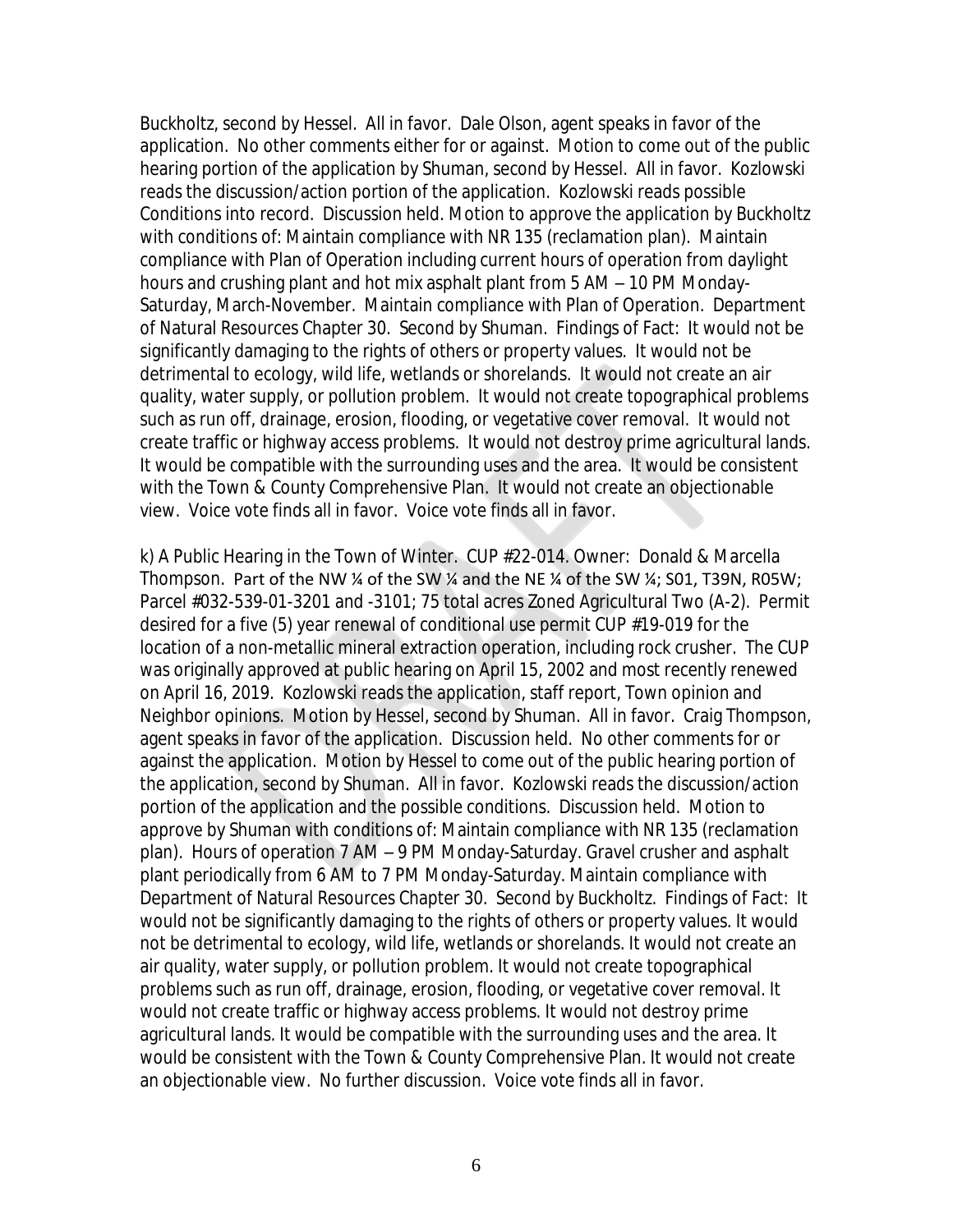Buckholtz, second by Hessel. All in favor. Dale Olson, agent speaks in favor of the application. No other comments either for or against. Motion to come out of the public hearing portion of the application by Shuman, second by Hessel. All in favor. Kozlowski reads the discussion/action portion of the application. Kozlowski reads possible Conditions into record. Discussion held. Motion to approve the application by Buckholtz with conditions of: Maintain compliance with NR 135 (reclamation plan). Maintain compliance with Plan of Operation including current hours of operation from daylight hours and crushing plant and hot mix asphalt plant from 5 AM – 10 PM Monday-Saturday, March-November. Maintain compliance with Plan of Operation. Department of Natural Resources Chapter 30. Second by Shuman. Findings of Fact: It would not be significantly damaging to the rights of others or property values. It would not be detrimental to ecology, wild life, wetlands or shorelands. It would not create an air quality, water supply, or pollution problem. It would not create topographical problems such as run off, drainage, erosion, flooding, or vegetative cover removal. It would not create traffic or highway access problems. It would not destroy prime agricultural lands. It would be compatible with the surrounding uses and the area. It would be consistent with the Town & County Comprehensive Plan. It would not create an objectionable view. Voice vote finds all in favor. Voice vote finds all in favor.

k) A Public Hearing in the Town of Winter. CUP #22-014. Owner: Donald & Marcella Thompson. Part of the NW ¼ of the SW ¼ and the NE ¼ of the SW ¼; S01, T39N, R05W; Parcel #032-539-01-3201 and -3101; 75 total acres Zoned Agricultural Two (A-2). Permit desired for a five (5) year renewal of conditional use permit CUP #19-019 for the location of a non-metallic mineral extraction operation, including rock crusher. The CUP was originally approved at public hearing on April 15, 2002 and most recently renewed on April 16, 2019. Kozlowski reads the application, staff report, Town opinion and Neighbor opinions. Motion by Hessel, second by Shuman. All in favor. Craig Thompson, agent speaks in favor of the application. Discussion held. No other comments for or against the application. Motion by Hessel to come out of the public hearing portion of the application, second by Shuman. All in favor. Kozlowski reads the discussion/action portion of the application and the possible conditions. Discussion held. Motion to approve by Shuman with conditions of: Maintain compliance with NR 135 (reclamation plan). Hours of operation 7 AM – 9 PM Monday-Saturday. Gravel crusher and asphalt plant periodically from 6 AM to 7 PM Monday-Saturday. Maintain compliance with Department of Natural Resources Chapter 30. Second by Buckholtz. Findings of Fact: It would not be significantly damaging to the rights of others or property values. It would not be detrimental to ecology, wild life, wetlands or shorelands. It would not create an air quality, water supply, or pollution problem. It would not create topographical problems such as run off, drainage, erosion, flooding, or vegetative cover removal. It would not create traffic or highway access problems. It would not destroy prime agricultural lands. It would be compatible with the surrounding uses and the area. It would be consistent with the Town & County Comprehensive Plan. It would not create an objectionable view. No further discussion. Voice vote finds all in favor.